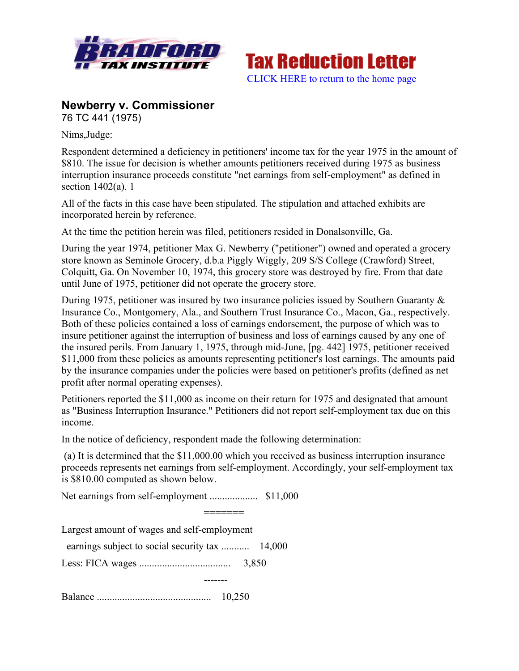



## **Newberry v. Commissioner**

76 TC 441 (1975)

Nims,Judge:

Respondent determined a deficiency in petitioners' income tax for the year 1975 in the amount of \$810. The issue for decision is whether amounts petitioners received during 1975 as business interruption insurance proceeds constitute "net earnings from self-employment" as defined in section 1402(a). 1

All of the facts in this case have been stipulated. The stipulation and attached exhibits are incorporated herein by reference.

At the time the petition herein was filed, petitioners resided in Donalsonville, Ga.

During the year 1974, petitioner Max G. Newberry ("petitioner") owned and operated a grocery store known as Seminole Grocery, d.b.a Piggly Wiggly, 209 S/S College (Crawford) Street, Colquitt, Ga. On November 10, 1974, this grocery store was destroyed by fire. From that date until June of 1975, petitioner did not operate the grocery store.

During 1975, petitioner was insured by two insurance policies issued by Southern Guaranty & Insurance Co., Montgomery, Ala., and Southern Trust Insurance Co., Macon, Ga., respectively. Both of these policies contained a loss of earnings endorsement, the purpose of which was to insure petitioner against the interruption of business and loss of earnings caused by any one of the insured perils. From January 1, 1975, through mid-June, [pg. 442] 1975, petitioner received \$11,000 from these policies as amounts representing petitioner's lost earnings. The amounts paid by the insurance companies under the policies were based on petitioner's profits (defined as net profit after normal operating expenses).

Petitioners reported the \$11,000 as income on their return for 1975 and designated that amount as "Business Interruption Insurance." Petitioners did not report self-employment tax due on this income.

In the notice of deficiency, respondent made the following determination:

(a) It is determined that the \$11,000.00 which you received as business interruption insurance proceeds represents net earnings from self-employment. Accordingly, your self-employment tax is \$810.00 computed as shown below.

Net earnings from self-employment ................... \$11,000

=======

Largest amount of wages and self-employment earnings subject to social security tax ........... 14,000 Less: FICA wages .................................... 3,850 ------- Balance ............................................. 10,250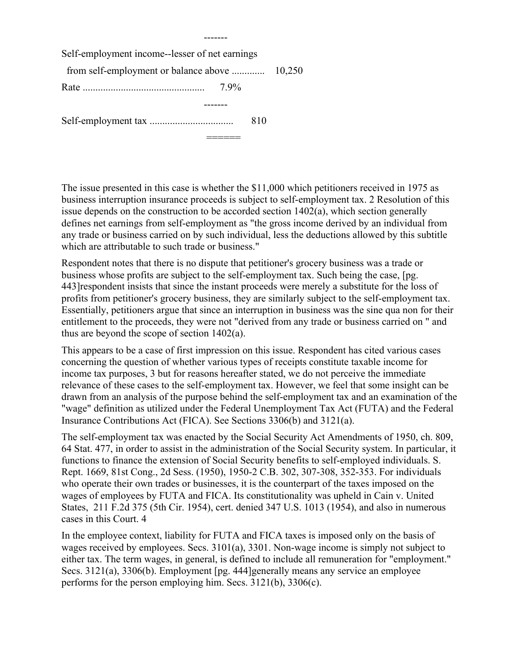Self-employment income--lesser of net earnings from self-employment or balance above ............. 10,250 Rate ................................................ 7.9% ------- Self-employment tax ................................. 810

-------

The issue presented in this case is whether the \$11,000 which petitioners received in 1975 as business interruption insurance proceeds is subject to self-employment tax. 2 Resolution of this issue depends on the construction to be accorded section 1402(a), which section generally defines net earnings from self-employment as "the gross income derived by an individual from any trade or business carried on by such individual, less the deductions allowed by this subtitle which are attributable to such trade or business."

======

Respondent notes that there is no dispute that petitioner's grocery business was a trade or business whose profits are subject to the self-employment tax. Such being the case, [pg. 443]respondent insists that since the instant proceeds were merely a substitute for the loss of profits from petitioner's grocery business, they are similarly subject to the self-employment tax. Essentially, petitioners argue that since an interruption in business was the sine qua non for their entitlement to the proceeds, they were not "derived from any trade or business carried on " and thus are beyond the scope of section 1402(a).

This appears to be a case of first impression on this issue. Respondent has cited various cases concerning the question of whether various types of receipts constitute taxable income for income tax purposes, 3 but for reasons hereafter stated, we do not perceive the immediate relevance of these cases to the self-employment tax. However, we feel that some insight can be drawn from an analysis of the purpose behind the self-employment tax and an examination of the "wage" definition as utilized under the Federal Unemployment Tax Act (FUTA) and the Federal Insurance Contributions Act (FICA). See Sections 3306(b) and 3121(a).

The self-employment tax was enacted by the Social Security Act Amendments of 1950, ch. 809, 64 Stat. 477, in order to assist in the administration of the Social Security system. In particular, it functions to finance the extension of Social Security benefits to self-employed individuals. S. Rept. 1669, 81st Cong., 2d Sess. (1950), 1950-2 C.B. 302, 307-308, 352-353. For individuals who operate their own trades or businesses, it is the counterpart of the taxes imposed on the wages of employees by FUTA and FICA. Its constitutionality was upheld in Cain v. United States, 211 F.2d 375 (5th Cir. 1954), cert. denied 347 U.S. 1013 (1954), and also in numerous cases in this Court. 4

In the employee context, liability for FUTA and FICA taxes is imposed only on the basis of wages received by employees. Secs. 3101(a), 3301. Non-wage income is simply not subject to either tax. The term wages, in general, is defined to include all remuneration for "employment." Secs. 3121(a), 3306(b). Employment [pg. 444]generally means any service an employee performs for the person employing him. Secs. 3121(b), 3306(c).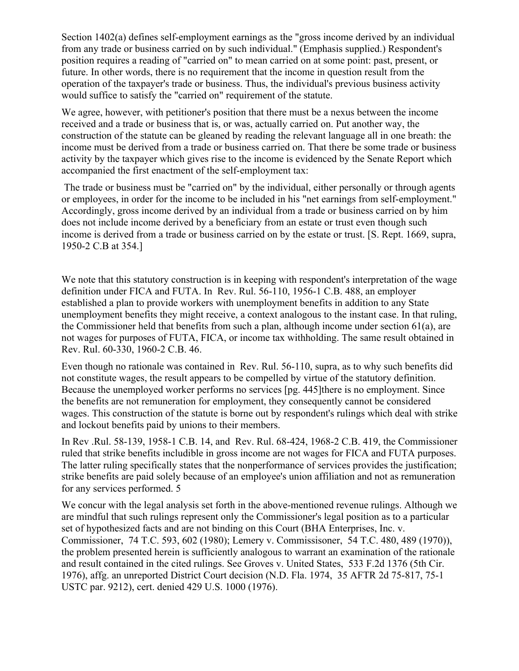Section 1402(a) defines self-employment earnings as the "gross income derived by an individual from any trade or business carried on by such individual." (Emphasis supplied.) Respondent's position requires a reading of "carried on" to mean carried on at some point: past, present, or future. In other words, there is no requirement that the income in question result from the operation of the taxpayer's trade or business. Thus, the individual's previous business activity would suffice to satisfy the "carried on" requirement of the statute.

We agree, however, with petitioner's position that there must be a nexus between the income received and a trade or business that is, or was, actually carried on. Put another way, the construction of the statute can be gleaned by reading the relevant language all in one breath: the income must be derived from a trade or business carried on. That there be some trade or business activity by the taxpayer which gives rise to the income is evidenced by the Senate Report which accompanied the first enactment of the self-employment tax:

The trade or business must be "carried on" by the individual, either personally or through agents or employees, in order for the income to be included in his "net earnings from self-employment." Accordingly, gross income derived by an individual from a trade or business carried on by him does not include income derived by a beneficiary from an estate or trust even though such income is derived from a trade or business carried on by the estate or trust. [S. Rept. 1669, supra, 1950-2 C.B at 354.]

We note that this statutory construction is in keeping with respondent's interpretation of the wage definition under FICA and FUTA. In Rev. Rul. 56-110, 1956-1 C.B. 488, an employer established a plan to provide workers with unemployment benefits in addition to any State unemployment benefits they might receive, a context analogous to the instant case. In that ruling, the Commissioner held that benefits from such a plan, although income under section 61(a), are not wages for purposes of FUTA, FICA, or income tax withholding. The same result obtained in Rev. Rul. 60-330, 1960-2 C.B. 46.

Even though no rationale was contained in Rev. Rul. 56-110, supra, as to why such benefits did not constitute wages, the result appears to be compelled by virtue of the statutory definition. Because the unemployed worker performs no services [pg. 445] there is no employment. Since the benefits are not remuneration for employment, they consequently cannot be considered wages. This construction of the statute is borne out by respondent's rulings which deal with strike and lockout benefits paid by unions to their members.

In Rev .Rul. 58-139, 1958-1 C.B. 14, and Rev. Rul. 68-424, 1968-2 C.B. 419, the Commissioner ruled that strike benefits includible in gross income are not wages for FICA and FUTA purposes. The latter ruling specifically states that the nonperformance of services provides the justification; strike benefits are paid solely because of an employee's union affiliation and not as remuneration for any services performed. 5

We concur with the legal analysis set forth in the above-mentioned revenue rulings. Although we are mindful that such rulings represent only the Commissioner's legal position as to a particular set of hypothesized facts and are not binding on this Court (BHA Enterprises, Inc. v. Commissioner, 74 T.C. 593, 602 (1980); Lemery v. Commissisoner, 54 T.C. 480, 489 (1970)), the problem presented herein is sufficiently analogous to warrant an examination of the rationale and result contained in the cited rulings. See Groves v. United States, 533 F.2d 1376 (5th Cir. 1976), affg. an unreported District Court decision (N.D. Fla. 1974, 35 AFTR 2d 75-817, 75-1 USTC par. 9212), cert. denied 429 U.S. 1000 (1976).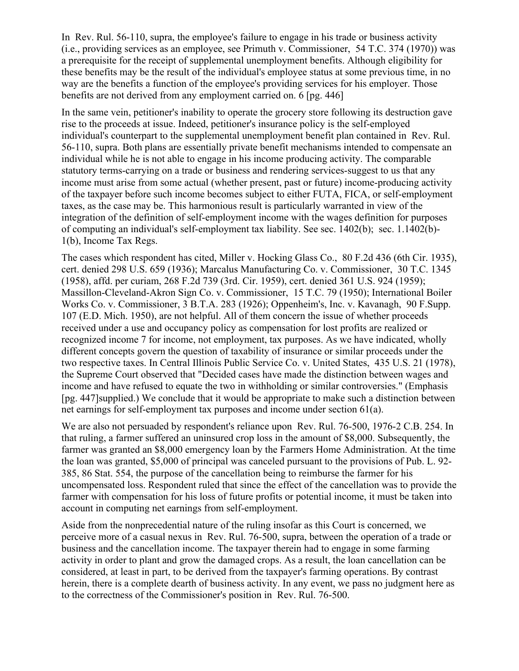In Rev. Rul. 56-110, supra, the employee's failure to engage in his trade or business activity (i.e., providing services as an employee, see Primuth v. Commissioner, 54 T.C. 374 (1970)) was a prerequisite for the receipt of supplemental unemployment benefits. Although eligibility for these benefits may be the result of the individual's employee status at some previous time, in no way are the benefits a function of the employee's providing services for his employer. Those benefits are not derived from any employment carried on. 6 [pg. 446]

In the same vein, petitioner's inability to operate the grocery store following its destruction gave rise to the proceeds at issue. Indeed, petitioner's insurance policy is the self-employed individual's counterpart to the supplemental unemployment benefit plan contained in Rev. Rul. 56-110, supra. Both plans are essentially private benefit mechanisms intended to compensate an individual while he is not able to engage in his income producing activity. The comparable statutory terms-carrying on a trade or business and rendering services-suggest to us that any income must arise from some actual (whether present, past or future) income-producing activity of the taxpayer before such income becomes subject to either FUTA, FICA, or self-employment taxes, as the case may be. This harmonious result is particularly warranted in view of the integration of the definition of self-employment income with the wages definition for purposes of computing an individual's self-employment tax liability. See sec. 1402(b); sec. 1.1402(b)- 1(b), Income Tax Regs.

The cases which respondent has cited, Miller v. Hocking Glass Co., 80 F.2d 436 (6th Cir. 1935), cert. denied 298 U.S. 659 (1936); Marcalus Manufacturing Co. v. Commissioner, 30 T.C. 1345 (1958), affd. per curiam, 268 F.2d 739 (3rd. Cir. 1959), cert. denied 361 U.S. 924 (1959); Massillon-Cleveland-Akron Sign Co. v. Commissioner, 15 T.C. 79 (1950); International Boiler Works Co. v. Commissioner, 3 B.T.A. 283 (1926); Oppenheim's, Inc. v. Kavanagh, 90 F.Supp. 107 (E.D. Mich. 1950), are not helpful. All of them concern the issue of whether proceeds received under a use and occupancy policy as compensation for lost profits are realized or recognized income 7 for income, not employment, tax purposes. As we have indicated, wholly different concepts govern the question of taxability of insurance or similar proceeds under the two respective taxes. In Central Illinois Public Service Co. v. United States, 435 U.S. 21 (1978), the Supreme Court observed that "Decided cases have made the distinction between wages and income and have refused to equate the two in withholding or similar controversies." (Emphasis [pg. 447]supplied.) We conclude that it would be appropriate to make such a distinction between net earnings for self-employment tax purposes and income under section 61(a).

We are also not persuaded by respondent's reliance upon Rev. Rul. 76-500, 1976-2 C.B. 254. In that ruling, a farmer suffered an uninsured crop loss in the amount of \$8,000. Subsequently, the farmer was granted an \$8,000 emergency loan by the Farmers Home Administration. At the time the loan was granted, \$5,000 of principal was canceled pursuant to the provisions of Pub. L. 92- 385, 86 Stat. 554, the purpose of the cancellation being to reimburse the farmer for his uncompensated loss. Respondent ruled that since the effect of the cancellation was to provide the farmer with compensation for his loss of future profits or potential income, it must be taken into account in computing net earnings from self-employment.

Aside from the nonprecedential nature of the ruling insofar as this Court is concerned, we perceive more of a casual nexus in Rev. Rul. 76-500, supra, between the operation of a trade or business and the cancellation income. The taxpayer therein had to engage in some farming activity in order to plant and grow the damaged crops. As a result, the loan cancellation can be considered, at least in part, to be derived from the taxpayer's farming operations. By contrast herein, there is a complete dearth of business activity. In any event, we pass no judgment here as to the correctness of the Commissioner's position in Rev. Rul. 76-500.